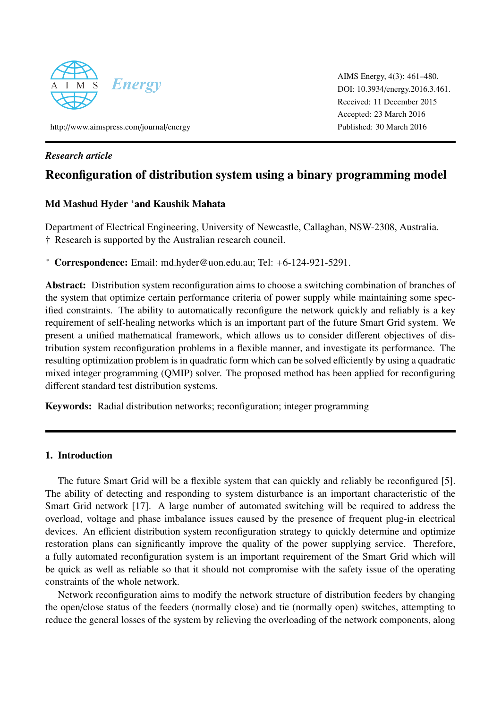

AIMS Energy, 4(3): 461–480. DOI: 10.3934/[energy.2016.3.461.](http://dx.doi.org/10.3934/energy.2016.3.461.) Received: 11 December 2015 Accepted: 23 March 2016 Published: 30 March 2016

http://[www.aimspress.com](\protect \relax \protect \edef txr{txr}\protect \xdef \U/txexa/m/n/5 {\OT1/txr/m/n/10 }\U/txexa/m/n/5 \size@update \enc@update http://www.aimspress.com/journal/energy/)/journal/energy

# *Research article*

# Reconfiguration of distribution system using a binary programming model

# Md Mashud Hyder <sup>∗</sup>and Kaushik Mahata

Department of Electrical Engineering, University of Newcastle, Callaghan, NSW-2308, Australia. † Research is supported by the Australian research council.

<sup>∗</sup> Correspondence: Email: md.hyder@uon.edu.au; Tel: +6-124-921-5291.

Abstract: Distribution system reconfiguration aims to choose a switching combination of branches of the system that optimize certain performance criteria of power supply while maintaining some specified constraints. The ability to automatically reconfigure the network quickly and reliably is a key requirement of self-healing networks which is an important part of the future Smart Grid system. We present a unified mathematical framework, which allows us to consider different objectives of distribution system reconfiguration problems in a flexible manner, and investigate its performance. The resulting optimization problem is in quadratic form which can be solved efficiently by using a quadratic mixed integer programming (QMIP) solver. The proposed method has been applied for reconfiguring different standard test distribution systems.

Keywords: Radial distribution networks; reconfiguration; integer programming

# 1. Introduction

The future Smart Grid will be a flexible system that can quickly and reliably be reconfigured [\[5\]](#page-17-0). The ability of detecting and responding to system disturbance is an important characteristic of the Smart Grid network [\[17\]](#page-18-0). A large number of automated switching will be required to address the overload, voltage and phase imbalance issues caused by the presence of frequent plug-in electrical devices. An efficient distribution system reconfiguration strategy to quickly determine and optimize restoration plans can significantly improve the quality of the power supplying service. Therefore, a fully automated reconfiguration system is an important requirement of the Smart Grid which will be quick as well as reliable so that it should not compromise with the safety issue of the operating constraints of the whole network.

Network reconfiguration aims to modify the network structure of distribution feeders by changing the open/close status of the feeders (normally close) and tie (normally open) switches, attempting to reduce the general losses of the system by relieving the overloading of the network components, along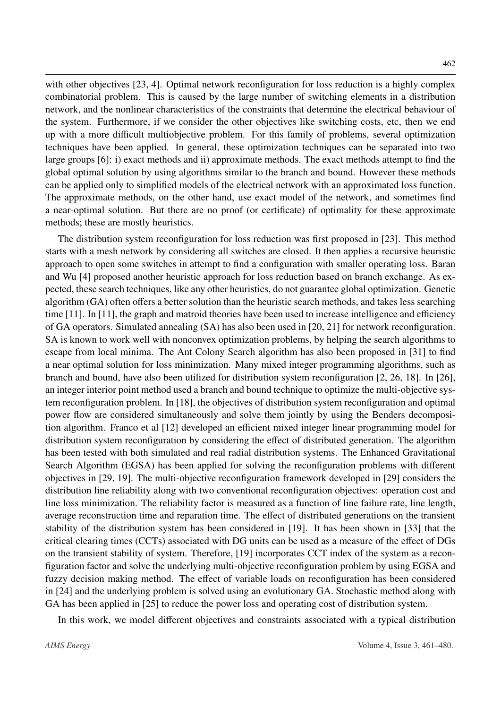with other objectives [\[23,](#page-18-1) [4\]](#page-17-1). Optimal network reconfiguration for loss reduction is a highly complex combinatorial problem. This is caused by the large number of switching elements in a distribution network, and the nonlinear characteristics of the constraints that determine the electrical behaviour of the system. Furthermore, if we consider the other objectives like switching costs, etc, then we end up with a more difficult multiobjective problem. For this family of problems, several optimization techniques have been applied. In general, these optimization techniques can be separated into two large groups [\[6\]](#page-17-2): i) exact methods and ii) approximate methods. The exact methods attempt to find the global optimal solution by using algorithms similar to the branch and bound. However these methods can be applied only to simplified models of the electrical network with an approximated loss function. The approximate methods, on the other hand, use exact model of the network, and sometimes find a near-optimal solution. But there are no proof (or certificate) of optimality for these approximate methods; these are mostly heuristics.

The distribution system reconfiguration for loss reduction was first proposed in [\[23\]](#page-18-1). This method starts with a mesh network by considering all switches are closed. It then applies a recursive heuristic approach to open some switches in attempt to find a configuration with smaller operating loss. Baran and Wu [\[4\]](#page-17-1) proposed another heuristic approach for loss reduction based on branch exchange. As expected, these search techniques, like any other heuristics, do not guarantee global optimization. Genetic algorithm (GA) often offers a better solution than the heuristic search methods, and takes less searching time [\[11\]](#page-18-2). In [\[11\]](#page-18-2), the graph and matroid theories have been used to increase intelligence and efficiency of GA operators. Simulated annealing (SA) has also been used in [\[20,](#page-18-3) [21\]](#page-18-4) for network reconfiguration. SA is known to work well with nonconvex optimization problems, by helping the search algorithms to escape from local minima. The Ant Colony Search algorithm has also been proposed in [\[31\]](#page-19-0) to find a near optimal solution for loss minimization. Many mixed integer programming algorithms, such as branch and bound, have also been utilized for distribution system reconfiguration [\[2,](#page-17-3) [26,](#page-19-1) [18\]](#page-18-5). In [\[26\]](#page-19-1), an integer interior point method used a branch and bound technique to optimize the multi-objective system reconfiguration problem. In [\[18\]](#page-18-5), the objectives of distribution system reconfiguration and optimal power flow are considered simultaneously and solve them jointly by using the Benders decomposition algorithm. Franco et al [\[12\]](#page-18-6) developed an efficient mixed integer linear programming model for distribution system reconfiguration by considering the effect of distributed generation. The algorithm has been tested with both simulated and real radial distribution systems. The Enhanced Gravitational Search Algorithm (EGSA) has been applied for solving the reconfiguration problems with different objectives in [\[29,](#page-19-2) [19\]](#page-18-7). The multi-objective reconfiguration framework developed in [\[29\]](#page-19-2) considers the distribution line reliability along with two conventional reconfiguration objectives: operation cost and line loss minimization. The reliability factor is measured as a function of line failure rate, line length, average reconstruction time and reparation time. The effect of distributed generations on the transient stability of the distribution system has been considered in [\[19\]](#page-18-7). It has been shown in [\[33\]](#page-19-3) that the critical clearing times (CCTs) associated with DG units can be used as a measure of the effect of DGs on the transient stability of system. Therefore, [\[19\]](#page-18-7) incorporates CCT index of the system as a reconfiguration factor and solve the underlying multi-objective reconfiguration problem by using EGSA and fuzzy decision making method. The effect of variable loads on reconfiguration has been considered in [\[24\]](#page-19-4) and the underlying problem is solved using an evolutionary GA. Stochastic method along with GA has been applied in [\[25\]](#page-19-5) to reduce the power loss and operating cost of distribution system.

In this work, we model different objectives and constraints associated with a typical distribution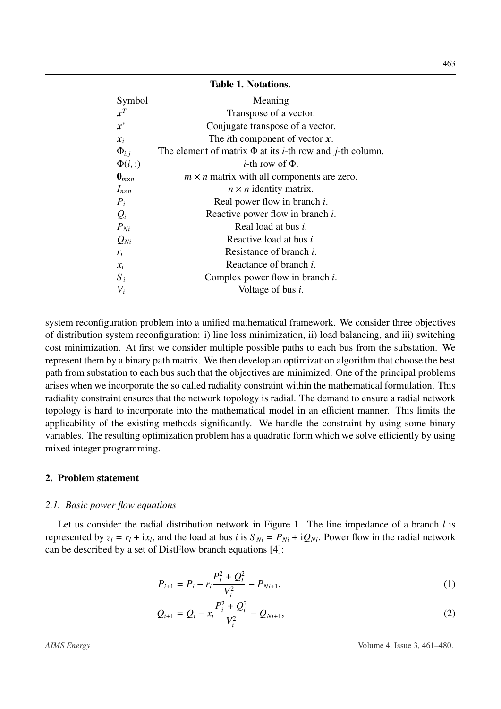|                           | <b>Table 1. Notations.</b>                                                    |
|---------------------------|-------------------------------------------------------------------------------|
| Symbol                    | Meaning                                                                       |
| $\overline{x^T}$          | Transpose of a vector.                                                        |
| $x^*$                     | Conjugate transpose of a vector.                                              |
| $x_i$                     | The <i>i</i> th component of vector $\boldsymbol{x}$ .                        |
| $\Phi_{i,i}$              | The element of matrix $\Phi$ at its <i>i</i> -th row and <i>j</i> -th column. |
| $\Phi(i,:)$               | <i>i</i> -th row of $\Phi$ .                                                  |
| $\mathbf{0}_{m \times n}$ | $m \times n$ matrix with all components are zero.                             |
| $I_{n \times n}$          | $n \times n$ identity matrix.                                                 |
| $P_i$                     | Real power flow in branch <i>i</i> .                                          |
| $Q_i$                     | Reactive power flow in branch <i>i</i> .                                      |
| $P_{Ni}$                  | Real load at bus <i>i</i> .                                                   |
| $Q_{Ni}$                  | Reactive load at bus <i>i</i> .                                               |
| $r_i$                     | Resistance of branch <i>i</i> .                                               |
| $x_i$                     | Reactance of branch <i>i</i> .                                                |
| $S_i$                     | Complex power flow in branch $i$ .                                            |
| $V_i$                     | Voltage of bus $i$ .                                                          |

system reconfiguration problem into a unified mathematical framework. We consider three objectives of distribution system reconfiguration: i) line loss minimization, ii) load balancing, and iii) switching cost minimization. At first we consider multiple possible paths to each bus from the substation. We represent them by a binary path matrix. We then develop an optimization algorithm that choose the best path from substation to each bus such that the objectives are minimized. One of the principal problems arises when we incorporate the so called radiality constraint within the mathematical formulation. This radiality constraint ensures that the network topology is radial. The demand to ensure a radial network topology is hard to incorporate into the mathematical model in an efficient manner. This limits the applicability of the existing methods significantly. We handle the constraint by using some binary variables. The resulting optimization problem has a quadratic form which we solve efficiently by using mixed integer programming.

# 2. Problem statement

#### *2.1. Basic power flow equations*

Let us consider the radial distribution network in Figure [1.](#page-3-0) The line impedance of a branch *l* is represented by  $z_l = r_l + ix_l$ , and the load at bus *i* is  $S_{Ni} = P_{Ni} + iQ_{Ni}$ . Power flow in the radial network can be described by a set of DistFlow branch equations [\[4\]](#page-17-1):

<span id="page-2-0"></span>
$$
P_{i+1} = P_i - r_i \frac{P_i^2 + Q_i^2}{V_i^2} - P_{Ni+1},
$$
\n(1)

$$
Q_{i+1} = Q_i - x_i \frac{P_i^2 + Q_i^2}{V_i^2} - Q_{Ni+1},
$$
\n(2)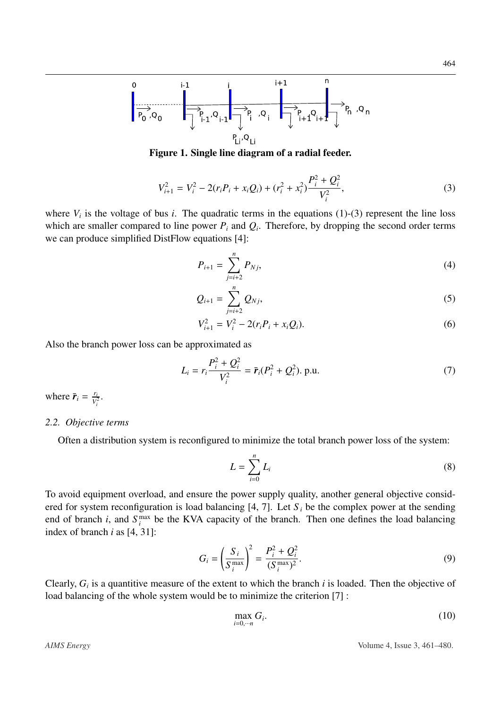<span id="page-3-0"></span>

Figure 1. Single line diagram of a radial feeder.

$$
V_{i+1}^2 = V_i^2 - 2(r_i P_i + x_i Q_i) + (r_i^2 + x_i^2) \frac{P_i^2 + Q_i^2}{V_i^2},
$$
\n(3)

where  $V_i$  is the voltage of bus *i*. The quadratic terms in the equations [\(1\)](#page-2-0)-[\(3\)](#page-3-1) represent the line loss which are smaller compared to line power  $P_i$  and  $Q_i$ . Therefore, by dropping the second order terms we can produce simplified DistFlow equations [\[4\]](#page-17-1):

<span id="page-3-3"></span><span id="page-3-1"></span>
$$
P_{i+1} = \sum_{j=i+2}^{n} P_{Nj},\tag{4}
$$

$$
Q_{i+1} = \sum_{j=i+2}^{n} Q_{Nj},
$$
 (5)

<span id="page-3-4"></span>
$$
V_{i+1}^2 = V_i^2 - 2(r_i P_i + x_i Q_i).
$$
 (6)

Also the branch power loss can be approximated as

$$
L_i = r_i \frac{P_i^2 + Q_i^2}{V_i^2} = \bar{r}_i (P_i^2 + Q_i^2).
$$
 p.u. (7)

where  $\vec{r}_i = \frac{r_i}{V_i}$  $\frac{r_i}{V_i^2}$ .

#### <span id="page-3-8"></span>*2.2. Objective terms*

Often a distribution system is reconfigured to minimize the total branch power loss of the system:

<span id="page-3-6"></span><span id="page-3-5"></span>
$$
L = \sum_{i=0}^{n} L_i
$$
 (8)

To avoid equipment overload, and ensure the power supply quality, another general objective considered for system reconfiguration is load balancing  $[4, 7]$  $[4, 7]$  $[4, 7]$ . Let  $S_i$  be the complex power at the sending end of branch *i*, and  $S_i^{\max}$  be the KVA capacity of the branch. Then one defines the load balancing index of branch *i* as [\[4,](#page-17-1) [31\]](#page-19-0):

$$
G_i = \left(\frac{S_i}{S_i^{\max}}\right)^2 = \frac{P_i^2 + Q_i^2}{(S_i^{\max})^2}.
$$
 (9)

Clearly,  $G_i$  is a quantitive measure of the extent to which the branch  $i$  is loaded. Then the objective of load balancing of the whole system would be to minimize the criterion [\[7\]](#page-18-8) :

<span id="page-3-7"></span><span id="page-3-2"></span>
$$
\max_{i=0,\cdots n} G_i. \tag{10}
$$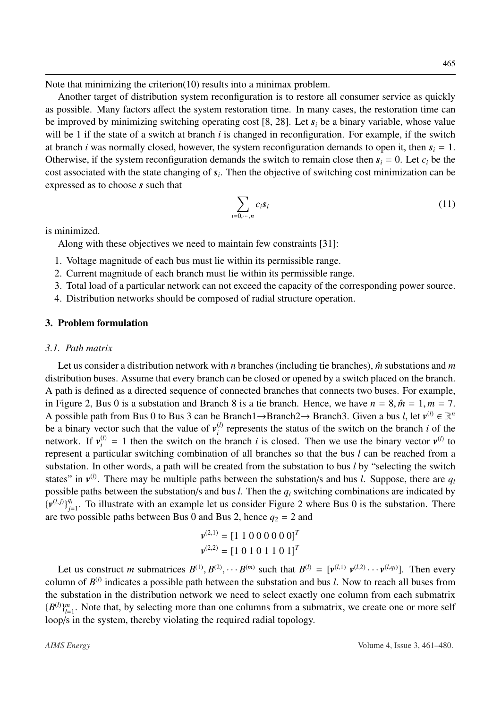Note that minimizing the criterion[\(10\)](#page-3-2) results into a minimax problem.

Another target of distribution system reconfiguration is to restore all consumer service as quickly as possible. Many factors affect the system restoration time. In many cases, the restoration time can be improved by minimizing switching operating cost [\[8,](#page-18-9) [28\]](#page-19-6). Let *s<sup>i</sup>* be a binary variable, whose value will be 1 if the state of a switch at branch *i* is changed in reconfiguration. For example, if the switch at branch *i* was normally closed, however, the system reconfiguration demands to open it, then  $s_i = 1$ . Otherwise, if the system reconfiguration demands the switch to remain close then  $s_i = 0$ . Let  $c_i$  be the cost associated with the state changing of *s<sup>i</sup>* . Then the objective of switching cost minimization can be expressed as to choose *s* such that

<span id="page-4-0"></span>
$$
\sum_{i=0,\cdots,n} c_i s_i \tag{11}
$$

is minimized.

Along with these objectives we need to maintain few constraints [\[31\]](#page-19-0):

- 1. Voltage magnitude of each bus must lie within its permissible range.
- 2. Current magnitude of each branch must lie within its permissible range.
- 3. Total load of a particular network can not exceed the capacity of the corresponding power source.
- 4. Distribution networks should be composed of radial structure operation.

### 3. Problem formulation

#### <span id="page-4-1"></span>*3.1. Path matrix*

Let us consider a distribution network with *n* branches (including tie branches),  $\hat{m}$  substations and *m* distribution buses. Assume that every branch can be closed or opened by a switch placed on the branch. A path is defined as a directed sequence of connected branches that connects two buses. For example, in Figure [2,](#page-5-0) Bus 0 is a substation and Branch 8 is a tie branch. Hence, we have  $n = 8$ ,  $\hat{m} = 1$ ,  $m = 7$ . A possible path from Bus 0 to Bus 3 can be Branch1→Branch2→ Branch3. Given a bus *l*, let  $v^{(l)} \in \mathbb{R}^n$ be a binary vector such that the value of  $v_i^{(l)}$  $\binom{1}{i}$  represents the status of the switch on the branch *i* of the network. If  $v_i^{(l)} = 1$  then the switch on the branch *i* is closed. Then we use the binary vector  $v^{(l)}$  to represent a particular switching combination of all branches so that the bus *l* can be reached from a substation. In other words, a path will be created from the substation to bus *l* by "selecting the switch states" in  $v^{(l)}$ . There may be multiple paths between the substation/s and bus *l*. Suppose, there are  $q_l$ possible paths between the substation/s and bus *l*. Then the *q<sup>l</sup>* switching combinations are indicated by  ${\{\boldsymbol{v}^{(l,j)}\}}_{i=1}^{q_l}$  $g_{i=1}^{q_i}$ . To illustrate with an example let us consider Figure [2](#page-5-0) where Bus 0 is the substation. There are two possible paths between Bus 0 and Bus 2, hence  $q_2 = 2$  and

$$
\mathbf{v}^{(2,1)} = [1 \ 1 \ 0 \ 0 \ 0 \ 0 \ 0 \ 0]^T
$$

$$
\mathbf{v}^{(2,2)} = [1 \ 0 \ 1 \ 0 \ 1 \ 1 \ 0 \ 1]^T
$$

Let us construct *m* submatrices  $B^{(1)}, B^{(2)}, \cdots B^{(m)}$  such that  $B^{(l)} = [\mathbf{v}^{(l,1)} \ \mathbf{v}^{(l,2)} \cdots \mathbf{v}^{(l,q_l)}]$ . Then every column of  $B^{(l)}$  indicates a possible path between the substation and bus *l*. Now to reach all buses from the substation in the distribution network we need to select exactly one column from each submatrix  ${B^{(l)}}_{l=1}^m$  $_{l=1}^{m}$ . Note that, by selecting more than one columns from a submatrix, we create one or more self loop/s in the system, thereby violating the required radial topology.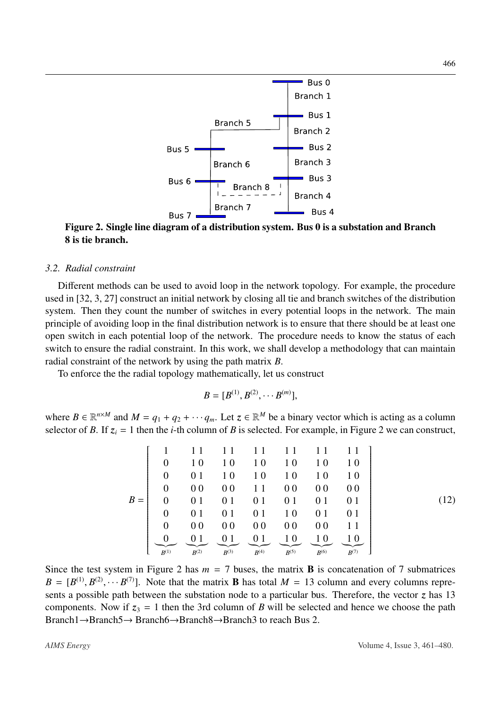<span id="page-5-0"></span>

Figure 2. Single line diagram of a distribution system. Bus 0 is a substation and Branch 8 is tie branch.

# *3.2. Radial constraint*

Different methods can be used to avoid loop in the network topology. For example, the procedure used in [\[32,](#page-19-7) [3,](#page-17-4) [27\]](#page-19-8) construct an initial network by closing all tie and branch switches of the distribution system. Then they count the number of switches in every potential loops in the network. The main principle of avoiding loop in the final distribution network is to ensure that there should be at least one open switch in each potential loop of the network. The procedure needs to know the status of each switch to ensure the radial constraint. In this work, we shall develop a methodology that can maintain radial constraint of the network by using the path matrix *B*.

To enforce the the radial topology mathematically, let us construct

<span id="page-5-1"></span>
$$
B=[B^{(1)},B^{(2)},\cdots B^{(m)}],
$$

where  $B \in \mathbb{R}^{n \times M}$  and  $M = q_1 + q_2 + \cdots + q_m$ . Let  $z \in \mathbb{R}^M$  be a binary vector which is acting as a column selector of *B*. If  $z_i = 1$  then the *i*-th column of *B* is selected. For example, in Figure [2](#page-5-0) we can construct,

$$
B = \begin{bmatrix} 1 & 11 & 11 & 11 & 11 & 11 & 11 \\ 0 & 10 & 10 & 10 & 10 & 10 & 10 \\ 0 & 01 & 10 & 10 & 10 & 10 & 10 \\ 0 & 00 & 00 & 11 & 00 & 00 & 00 \\ 0 & 01 & 01 & 01 & 01 & 01 & 01 \\ 0 & 01 & 01 & 01 & 10 & 01 & 01 \\ 0 & 00 & 00 & 00 & 00 & 00 & 11 \\ 0 & 01 & 01 & 01 & 10 & 01 & 01 \\ 0 & 00 & 00 & 00 & 00 & 00 & 11 \\ \end{bmatrix}
$$
 (12)

Since the test system in Figure [2](#page-5-0) has  $m = 7$  buses, the matrix **B** is concatenation of 7 submatrices  $B = [B^{(1)}, B^{(2)}, \cdots B^{(7)}]$ . Note that the matrix **B** has total  $M = 13$  column and every columns represents a possible path between the substation node to a particular bus. Therefore, the vector *z* has 13 components. Now if  $z_3 = 1$  then the 3rd column of *B* will be selected and hence we choose the path Branch1→Branch5→ Branch6→Branch8→Branch3 to reach Bus 2.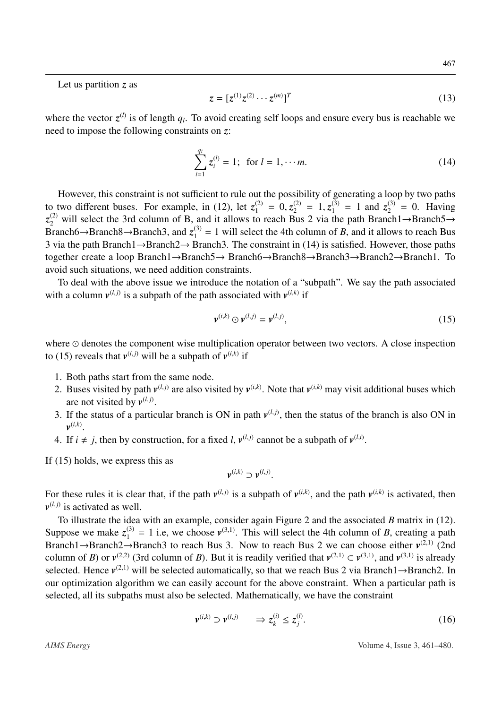Let us partition *z* as

<span id="page-6-0"></span>
$$
z = [z^{(1)}z^{(2)} \cdots z^{(m)}]^T
$$
 (13)

where the vector  $z^{(l)}$  is of length  $q_l$ . To avoid creating self loops and ensure every bus is reachable we need to impose the following constraints on *z*:

$$
\sum_{i=1}^{q_l} z_i^{(l)} = 1; \text{ for } l = 1, \cdots m. \tag{14}
$$

However, this constraint is not sufficient to rule out the possibility of generating a loop by two paths to two different buses. For example, in [\(12\)](#page-5-1), let  $z_1^{(2)} = 0$ ,  $z_2^{(2)} = 1$ ,  $z_1^{(3)} = 1$  and  $z_2^{(3)} = 0$ . Having  $z_2^{(2)}$  will select the 3rd column of B, and it allows to reach Bus. 2 via the path Branch  $\rightarrow$  Branch  $z_2^{(2)}$  will select the 3rd column of B, and it allows to reach Bus 2 via the path Branch1→Branch5→ Branch6→Branch8→Branch3, and  $z_1^{(3)} = 1$  will select the 4th column of *B*, and it allows to reach Bus 3 via the path Branch1→Branch2→ Branch3. The constraint in [\(14\)](#page-6-0) is satisfied. However, those paths together create a loop Branch1→Branch5→ Branch6→Branch8→Branch3→Branch2→Branch1. To avoid such situations, we need addition constraints.

To deal with the above issue we introduce the notation of a "subpath". We say the path associated with a column  $v^{(l,j)}$  is a subpath of the path associated with  $v^{(i,k)}$  if

<span id="page-6-1"></span>
$$
\mathbf{v}^{(i,k)} \odot \mathbf{v}^{(l,j)} = \mathbf{v}^{(l,j)},\tag{15}
$$

where  $\odot$  denotes the component wise multiplication operator between two vectors. A close inspection to [\(15\)](#page-6-1) reveals that  $v^{(l,j)}$  will be a subpath of  $v^{(i,k)}$  if

- 1. Both paths start from the same node.
- 2. Buses visited by path  $v^{(l,j)}$  are also visited by  $v^{(i,k)}$ . Note that  $v^{(i,k)}$  may visit additional buses which are not visited by  $v^{(l,j)}$ .
- 3. If the status of a particular branch is ON in path  $v^{(l,j)}$ , then the status of the branch is also ON in  $v^{(i,k)}$ .
- 4. If  $i \neq j$ , then by construction, for a fixed *l*,  $v^{(l,j)}$  cannot be a subpath of  $v^{(l,i)}$ .

If [\(15\)](#page-6-1) holds, we express this as

$$
\mathbf{v}^{(i,k)} \supset \mathbf{v}^{(l,j)}.
$$

For these rules it is clear that, if the path  $v^{(l,j)}$  is a subpath of  $v^{(i,k)}$ , and the path  $v^{(i,k)}$  is activated, then  $v^{(l,j)}$  is activated as well.

To illustrate the idea with an example, consider again Figure [2](#page-5-0) and the associated *B* matrix in [\(12\)](#page-5-1). Suppose we make  $z_1^{(3)} = 1$  i.e, we choose  $v^{(3,1)}$ . This will select the 4th column of *B*, creating a path Branch1→Branch2→Branch3 to reach Bus 3. Now to reach Bus 2 we can choose either  $v^{(2,1)}$  (2nd column of *B*) or  $v^{(2,2)}$  (3rd column of *B*). But it is readily verified that  $v^{(2,1)} \subset v^{(3,1)}$ , and  $v^{(3,1)}$  is already selected. Hence  $v^{(2,1)}$  will be selected automatically, so that we reach Bus 2 via Branch1→Branch2. In our optimization algorithm we can easily account for the above constraint. When a particular path is selected, all its subpaths must also be selected. Mathematically, we have the constraint

<span id="page-6-2"></span>
$$
\mathbf{v}^{(i,k)} \supset \mathbf{v}^{(l,j)} \qquad \Rightarrow z_k^{(i)} \le z_j^{(l)}.\tag{16}
$$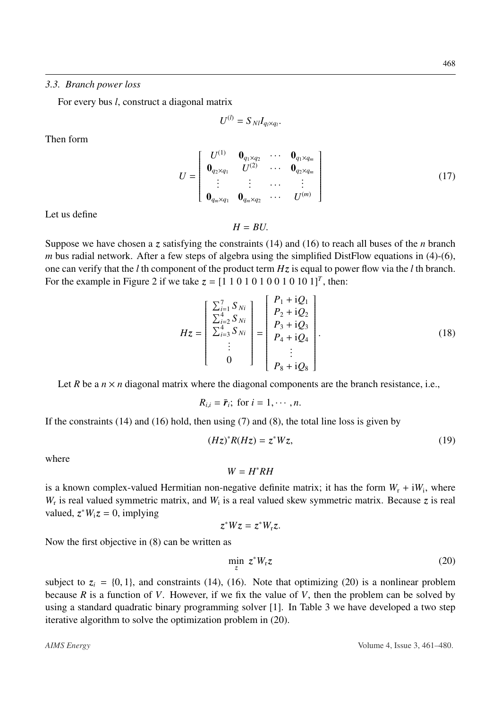For every bus *l*, construct a diagonal matrix

$$
U^{(l)}=S_{\mathit{Nl}}I_{q_l\times q_l}
$$

Then form

$$
U = \begin{bmatrix} U^{(1)} & \mathbf{0}_{q_1 \times q_2} & \cdots & \mathbf{0}_{q_1 \times q_m} \\ \mathbf{0}_{q_2 \times q_1} & U^{(2)} & \cdots & \mathbf{0}_{q_2 \times q_m} \\ \vdots & \vdots & \cdots & \vdots \\ \mathbf{0}_{q_m \times q_1} & \mathbf{0}_{q_m \times q_2} & \cdots & U^{(m)} \end{bmatrix}
$$
(17)

Let us define

<span id="page-7-1"></span> $H = R U$ .

Suppose we have chosen a *z* satisfying the constraints [\(14\)](#page-6-0) and [\(16\)](#page-6-2) to reach all buses of the *n* branch *m* bus radial network. After a few steps of algebra using the simplified DistFlow equations in [\(4\)](#page-3-3)-[\(6\)](#page-3-4), one can verify that the *l* th component of the product term *Hz* is equal to power flow via the *l* th branch. For the example in Figure [2](#page-5-0) if we take  $z = [1\ 1\ 0\ 1\ 0\ 1\ 0\ 1\ 0\ 1\ 0\ 1]^T$ , then:

$$
Hz = \begin{bmatrix} \sum_{i=1}^{7} S_{Ni} \\ \sum_{i=2}^{4} S_{Ni} \\ \sum_{i=3}^{4} S_{Ni} \\ \vdots \\ 0 \end{bmatrix} = \begin{bmatrix} P_1 + iQ_1 \\ P_2 + iQ_2 \\ P_3 + iQ_3 \\ P_4 + iQ_4 \\ \vdots \\ P_8 + iQ_8 \end{bmatrix} .
$$
 (18)

Let *R* be a  $n \times n$  diagonal matrix where the diagonal components are the branch resistance, i.e.,

 $R_{i,i} = \bar{r}_i$ ; for  $i = 1, \dots, n$ .

If the constraints  $(14)$  and  $(16)$  hold, then using  $(7)$  and  $(8)$ , the total line loss is given by

$$
(Hz)^*R(Hz) = z^*Wz,
$$
\n(19)

where

 $W = H^*RH$ 

is a known complex-valued Hermitian non-negative definite matrix; it has the form  $W_r + iW_i$ , where  $W_r$  is real valued symmetric matrix, and  $W_i$  is a real valued skew symmetric matrix. Because *z* is real valued,  $z^*W_iz = 0$ , implying

$$
z^*Wz=z^*W_rz.
$$

Now the first objective in [\(8\)](#page-3-6) can be written as

<span id="page-7-0"></span>
$$
\min_{z} z^* W_{\rm r} z \tag{20}
$$

subject to  $z_i = \{0, 1\}$ , and constraints [\(14\)](#page-6-0), [\(16\)](#page-6-2). Note that optimizing [\(20\)](#page-7-0) is a nonlinear problem because *R* is a function of *V*. However, if we fix the value of *V*, then the problem can be solved by using a standard quadratic binary programming solver [\[1\]](#page-17-5). In Table [3](#page-11-0) we have developed a two step iterative algorithm to solve the optimization problem in [\(20\)](#page-7-0).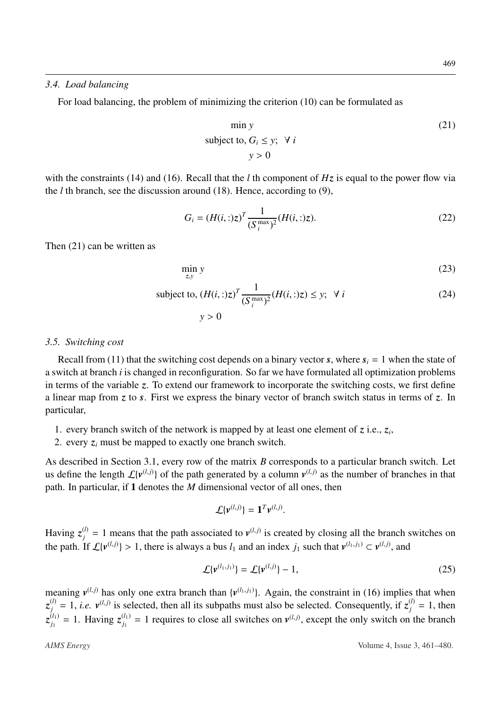#### *3.4. Load balancing*

For load balancing, the problem of minimizing the criterion [\(10\)](#page-3-2) can be formulated as

<span id="page-8-0"></span>
$$
\min y
$$
  
subject to,  $G_i \le y$ ;  $\forall i$   
 $y > 0$  (21)

with the constraints [\(14\)](#page-6-0) and [\(16\)](#page-6-2). Recall that the *l* th component of *Hz* is equal to the power flow via the *l* th branch, see the discussion around [\(18\)](#page-7-1). Hence, according to [\(9\)](#page-3-7),

$$
G_i = (H(i,:)z)^T \frac{1}{(S_i^{\max})^2} (H(i,:)z).
$$
 (22)

Then [\(21\)](#page-8-0) can be written as

$$
\min_{z,v} y \tag{23}
$$

subject to, 
$$
(H(i,:)z)^T \frac{1}{(S_i^{\max})^2} (H(i,:)z) \leq y; \ \forall i
$$
 (24)

<span id="page-8-2"></span> $y > 0$ 

#### <span id="page-8-3"></span>*3.5. Switching cost*

Recall from [\(11\)](#page-4-0) that the switching cost depends on a binary vector *s*, where  $s_i = 1$  when the state of a switch at branch *i* is changed in reconfiguration. So far we have formulated all optimization problems in terms of the variable *z*. To extend our framework to incorporate the switching costs, we first define a linear map from *z* to *s*. First we express the binary vector of branch switch status in terms of *z*. In particular,

- 1. every branch switch of the network is mapped by at least one element of *z* i.e., *z<sup>i</sup>* ,
- 2. every  $z_i$  must be mapped to exactly one branch switch.

As described in Section [3.1,](#page-4-1) every row of the matrix *B* corresponds to a particular branch switch. Let us define the length  $\mathcal{L}\lbrace v^{(l,j)} \rbrace$  of the path generated by a column  $v^{(l,j)}$  as the number of branches in that path. In particular, if 1 denotes the *M* dimensional vector of all ones, then

$$
\mathcal{L}\{\mathbf{v}^{(l,j)}\}=\mathbf{1}^T\mathbf{v}^{(l,j)}.
$$

Having  $z_j^{(l)} = 1$  means that the path associated to  $v^{(l,j)}$  is created by closing all the branch switches on the path. If  $\mathcal{L}\lbrace v^{(l,j)} \rbrace > 1$ , there is always a bus  $l_1$  and an index  $j_1$  such that  $v^{(l_1,j_1)} \subset v^{(l,j)}$ , and

<span id="page-8-1"></span>
$$
\mathcal{L}\{\mathbf{v}^{(l_1,j_1)}\} = \mathcal{L}\{\mathbf{v}^{(l,j)}\} - 1,\tag{25}
$$

meaning  $v^{(l,j)}$  has only one extra branch than  $\{v^{(l_1,j_1)}\}$ . Again, the constraint in [\(16\)](#page-6-2) implies that when  $z_j^{(l)} = 1$ , *i.e.*  $v^{(l,j)}$  is selected, then all its subpaths must also be selected. Consequently, if  $z_j^{(l)} = 1$ , then  $z_{i_1}^{(l_1)}$  $j_1^{(l_1)} = 1$ . Having  $z_{j_1}^{(l_1)}$  $y_{j_1}^{(l_1)} = 1$  requires to close all switches on  $v^{(l,j)}$ , except the only switch on the branch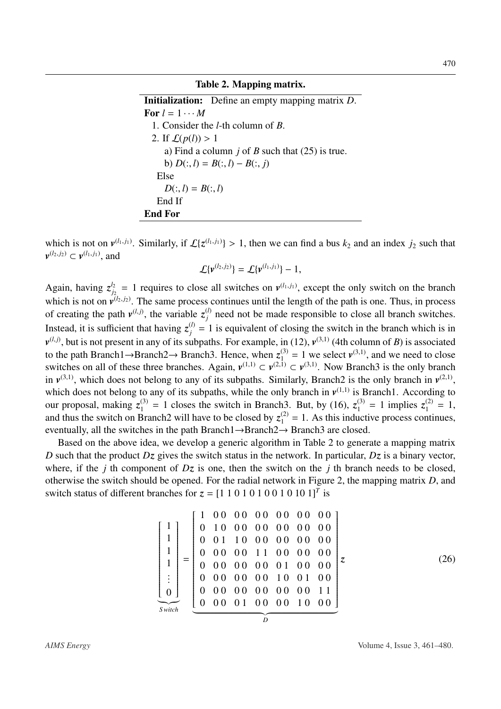#### Table 2. Mapping matrix.

<span id="page-9-0"></span>Initialization: Define an empty mapping matrix *D*. For  $l = 1 \cdots M$ 1. Consider the *l*-th column of *B*. 2. If  $\mathcal{L}(p(l)) > 1$ a) Find a column *j* of *B* such that [\(25\)](#page-8-1) is true. **b**)  $D(:, l) = B(:, l) - B(:, j)$ Else  $D(:, l) = B(:, l)$ End If End For

which is not on  $v^{(l_1, j_1)}$ . Similarly, if  $\mathcal{L}\lbrace z^{(l_1, j_1)} \rbrace > 1$ , then we can find a bus  $k_2$  and an index  $j_2$  such that  $v^{(l_2, j_2)} \subset v^{(l_1, j_1)}$  and  *⊂*  $*v*<sup>(l</sup><sub>1</sub>, *j*<sub>1</sub>)$ *, and* 

$$
\mathcal{L}\{\bm{\nu}^{(l_2,j_2)}\}=\mathcal{L}\{\bm{\nu}^{(l_1,j_1)}\}-1,
$$

Again, having  $z_i^{l_2}$  $g_{i_2}^{l_2} = 1$  requires to close all switches on  $v^{(l_1, j_1)}$ , except the only switch on the branch which is not on  $v^{(l_2, j_2)}$ . The same process continues until the length of the path is one. Thus, in process of creating the path  $v^{(l,j)}$ , the variable  $z_i^{(l)}$  $j_j^{(l)}$  need not be made responsible to close all branch switches. Instead, it is sufficient that having  $z_j^{(l)} = 1$  is equivalent of closing the switch in the branch which is in  $v^{(l,j)}$ , but is not present in any of its subpaths. For example, in [\(12\)](#page-5-1),  $v^{(3,1)}$  (4th column of *B*) is associated to the path Branch1→Branch2→ Branch3. Hence, when  $z_1^{(3)} = 1$  we select  $v^{(3,1)}$ , and we need to close switches on all of these three branches. Again,  $v^{(1,1)} \subset v^{(2,1)} \subset v^{(3,1)}$ . Now Branch3 is the only branch in  $v^{(3,1)}$ , which does not belong to any of its subpaths. Similarly, Branch<sub>2</sub> is the only branch in  $v^{(2,1)}$ , which does not belong to any of its subpaths, while the only branch in  $v^{(1,1)}$  is Branch1. According to our proposal, making  $z_1^{(3)} = 1$  closes the switch in Branch3. But, by [\(16\)](#page-6-2),  $z_1^{(3)} = 1$  implies  $z_1^{(2)} = 1$ , and thus the switch on Branch2 will have to be closed by  $z_1^{(2)} = 1$ . As this inductive process continues, eventually, all the switches in the path Branch1→Branch2→ Branch3 are closed.

Based on the above idea, we develop a generic algorithm in Table [2](#page-9-0) to generate a mapping matrix *D* such that the product *Dz* gives the switch status in the network. In particular, *Dz* is a binary vector, where, if the *j* th component of *Dz* is one, then the switch on the *j* th branch needs to be closed, otherwise the switch should be opened. For the radial network in Figure [2,](#page-5-0) the mapping matrix *D*, and switch status of different branches for  $z = [1\ 1\ 0\ 1\ 0\ 1\ 0\ 1\ 0\ 1\ 0\ 1]^T$  is

 1 1 1 1 . . . 0 |{z} *S witch* = 1 0 0 0 0 0 0 0 0 0 0 0 0 0 1 0 0 0 0 0 0 0 0 0 0 0 0 0 1 1 0 0 0 0 0 0 0 0 0 0 0 0 0 0 1 1 0 0 0 0 0 0 0 0 0 0 0 0 0 0 1 0 0 0 0 0 0 0 0 0 0 0 1 0 0 1 0 0 0 0 0 0 0 0 0 0 0 0 0 1 1 0 0 0 0 1 0 0 0 0 1 0 0 0 | {z } *D z* (26)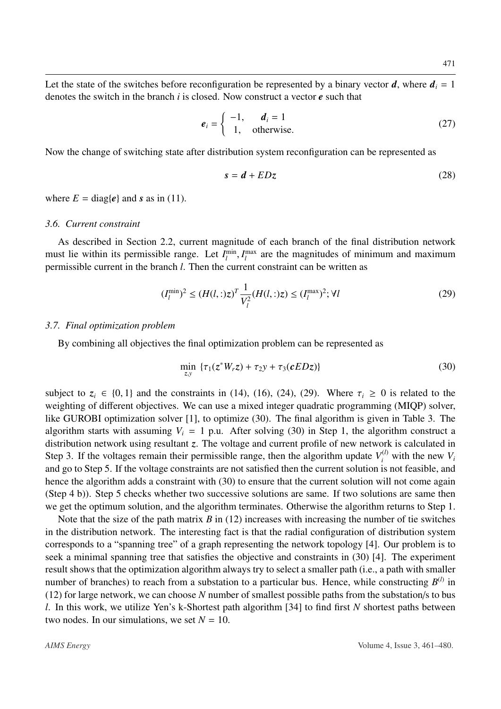Let the state of the switches before reconfiguration be represented by a binary vector  $d$ , where  $d_i = 1$ denotes the switch in the branch *i* is closed. Now construct a vector *e* such that

$$
e_i = \begin{cases} -1, & d_i = 1 \\ 1, & \text{otherwise.} \end{cases}
$$
 (27)

Now the change of switching state after distribution system reconfiguration can be represented as

<span id="page-10-0"></span>
$$
s = d + EDz \tag{28}
$$

where  $E = \text{diag}\lbrace e \rbrace$  and *s* as in [\(11\)](#page-4-0).

#### *3.6. Current constraint*

As described in Section [2.2,](#page-3-8) current magnitude of each branch of the final distribution network must lie within its permissible range. Let  $I_l^{\text{min}}, I_l^{\text{max}}$ <br>permissible current in the branch *l*. Then the current  $\int_l^{\text{max}}$  are the magnitudes of minimum and maximum permissible current in the branch *l*. Then the current constraint can be written as

$$
(I_l^{\min})^2 \le (H(l,:)z)^T \frac{1}{V_l^2} (H(l,:)z) \le (I_l^{\max})^2; \forall l
$$
\n(29)

#### *3.7. Final optimization problem*

By combining all objectives the final optimization problem can be represented as

<span id="page-10-1"></span>
$$
\min_{z,y} \ \{\tau_1(z^*W_r z) + \tau_2 y + \tau_3(cEDz)\}\tag{30}
$$

subject to  $z_i \in \{0, 1\}$  and the constraints in [\(14\)](#page-6-0), [\(16\)](#page-6-2), [\(24\)](#page-8-2), [\(29\)](#page-10-0). Where  $\tau_i \geq 0$  is related to the weighting of different objectives. We can use a mixed integer quadratic programming (MIQP) solver, like GUROBI optimization solver [\[1\]](#page-17-5), to optimize [\(30\)](#page-10-1). The final algorithm is given in Table [3.](#page-11-0) The algorithm starts with assuming  $V_i = 1$  p.u. After solving [\(30\)](#page-10-1) in Step 1, the algorithm construct a distribution network using resultant *z*. The voltage and current profile of new network is calculated in Step 3. If the voltages remain their permissible range, then the algorithm update  $V_i^{(l)}$  with the new  $V_i$ and go to Step 5. If the voltage constraints are not satisfied then the current solution is not feasible, and hence the algorithm adds a constraint with [\(30\)](#page-10-1) to ensure that the current solution will not come again (Step 4 b)). Step 5 checks whether two successive solutions are same. If two solutions are same then we get the optimum solution, and the algorithm terminates. Otherwise the algorithm returns to Step 1.

Note that the size of the path matrix *B* in [\(12\)](#page-5-1) increases with increasing the number of tie switches in the distribution network. The interesting fact is that the radial configuration of distribution system corresponds to a "spanning tree" of a graph representing the network topology [\[4\]](#page-17-1). Our problem is to seek a minimal spanning tree that satisfies the objective and constraints in [\(30\)](#page-10-1) [\[4\]](#page-17-1). The experiment result shows that the optimization algorithm always try to select a smaller path (i.e., a path with smaller number of branches) to reach from a substation to a particular bus. Hence, while constructing  $B^{(l)}$  in [\(12\)](#page-5-1) for large network, we can choose *N* number of smallest possible paths from the substation/s to bus *l*. In this work, we utilize Yen's k-Shortest path algorithm [\[34\]](#page-19-9) to find first *N* shortest paths between two nodes. In our simulations, we set  $N = 10$ .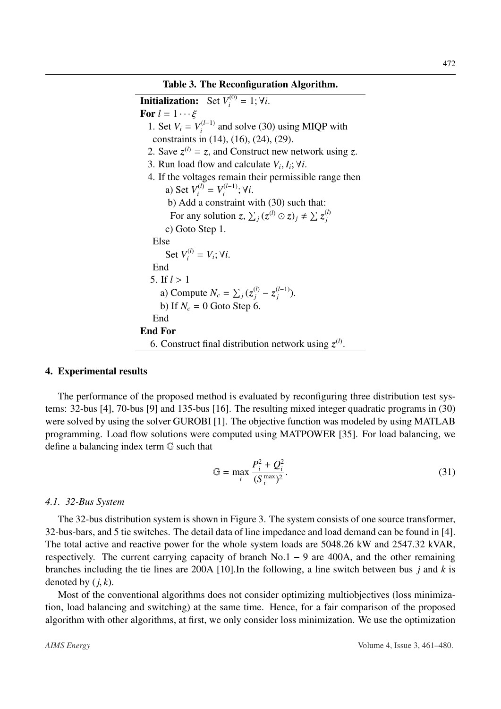<span id="page-11-0"></span>**Initialization:** Set  $V_i^{(0)} = 1; \forall i$ . For  $l = 1 \cdots \xi$ 1. Set  $V_i = V_i^{(l-1)}$  $i_i^{(l-1)}$  and solve [\(30\)](#page-10-1) using MIQP with constraints in [\(14\)](#page-6-0), [\(16\)](#page-6-2), [\(24\)](#page-8-2), [\(29\)](#page-10-0). 2. Save  $z^{(l)} = z$ , and Construct new network using z. 3. Run load flow and calculate  $V_i$ ,  $I_i$ ;  $\forall i$ . 4. If the voltages remain their permissible range then a) Set  $V_i^{(l)} = V_i^{(l-1)}$  $\mathbf{v}_i^{(l-1)}$ ;  $\forall i$ . b) Add a constraint with [\(30\)](#page-10-1) such that: For any solution  $z$ ,  $\sum_j (z^{(l)} \odot z)_j \neq \sum_j z^{(l)}_j$ *j* c) Goto Step 1. Else Set  $V_i^{(l)} = V_i$ ;  $\forall i$ . End 5. If  $l > 1$ a) Compute  $N_c = \sum_j (z_j^{(l)} - z_j^{(l-1)})$  $j^{(l-1)}$ ). b) If  $N_c = 0$  Goto Step 6. End End For 6. Construct final distribution network using  $z^{(l)}$ .

# 4. Experimental results

The performance of the proposed method is evaluated by reconfiguring three distribution test systems: 32-bus [\[4\]](#page-17-1), 70-bus [\[9\]](#page-18-10) and 135-bus [\[16\]](#page-18-11). The resulting mixed integer quadratic programs in [\(30\)](#page-10-1) were solved by using the solver GUROBI [\[1\]](#page-17-5). The objective function was modeled by using MATLAB programming. Load flow solutions were computed using MATPOWER [\[35\]](#page-19-10). For load balancing, we define a balancing index term G such that

$$
\mathbb{G} = \max_{i} \frac{P_i^2 + Q_i^2}{(S_i^{\max})^2}.
$$
\n(31)

# *4.1. 32-Bus System*

The 32-bus distribution system is shown in Figure [3.](#page-12-0) The system consists of one source transformer, 32-bus-bars, and 5 tie switches. The detail data of line impedance and load demand can be found in [\[4\]](#page-17-1). The total active and reactive power for the whole system loads are 5048.26 kW and 2547.32 kVAR, respectively. The current carrying capacity of branch No.1 – 9 are 400A, and the other remaining branches including the tie lines are 200A [\[10\]](#page-18-12).In the following, a line switch between bus *j* and *k* is denoted by  $(i, k)$ .

Most of the conventional algorithms does not consider optimizing multiobjectives (loss minimization, load balancing and switching) at the same time. Hence, for a fair comparison of the proposed algorithm with other algorithms, at first, we only consider loss minimization. We use the optimization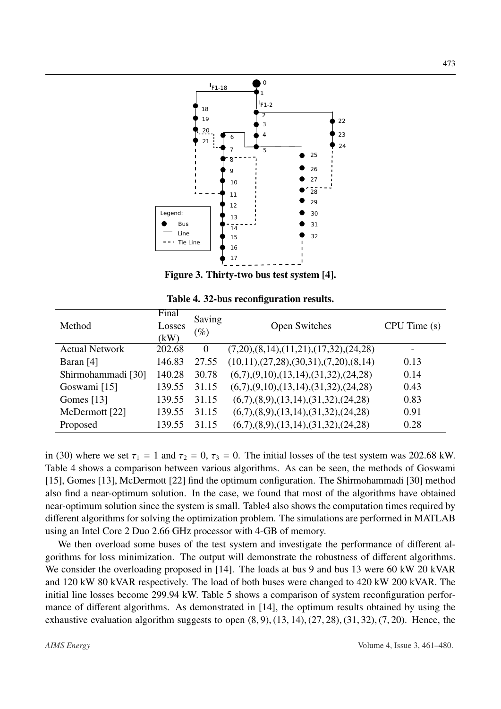<span id="page-12-0"></span>

Figure 3. Thirty-two bus test system [\[4\]](#page-17-1).

<span id="page-12-1"></span>

| Method                | Final<br>Losses<br>(kW) | Saving<br>$(\%)$ | Open Switches                                         | CPU Time(s) |
|-----------------------|-------------------------|------------------|-------------------------------------------------------|-------------|
| <b>Actual Network</b> | 202.68                  | $\overline{0}$   | $(7,20), (8,14), (11,21), (17,32), (24,28)$           |             |
| Baran $[4]$           | 146.83                  | 27.55            | $(10,11), (27,28), (30,31), (7,20), (8,14)$           | 0.13        |
| Shirmohammadi [30]    | 140.28                  | 30.78            | $(6,7), (9,10), (13,14), (31,32), (24,28)$            | 0.14        |
| Goswami [15]          | 139.55                  | 31.15            | $(6,7), (9,10), (13,14), (31,32), (24,28)$            | 0.43        |
| Gomes $[13]$          | 139.55                  | 31.15            | $(6,7)$ , $(8,9)$ , $(13,14)$ , $(31,32)$ , $(24,28)$ | 0.83        |
| McDermott [22]        | 139.55                  | 31.15            | $(6,7)$ , $(8,9)$ , $(13,14)$ , $(31,32)$ , $(24,28)$ | 0.91        |
| Proposed              | 139.55                  | 31.15            | $(6,7)$ , $(8,9)$ , $(13,14)$ , $(31,32)$ , $(24,28)$ | 0.28        |

Table 4. 32-bus reconfiguration results.

in [\(30\)](#page-10-1) where we set  $\tau_1 = 1$  and  $\tau_2 = 0$ ,  $\tau_3 = 0$ . The initial losses of the test system was 202.68 kW. Table [4](#page-12-1) shows a comparison between various algorithms. As can be seen, the methods of Goswami [\[15\]](#page-18-13), Gomes [\[13\]](#page-18-14), McDermott [\[22\]](#page-18-15) find the optimum configuration. The Shirmohammadi [\[30\]](#page-19-11) method also find a near-optimum solution. In the case, we found that most of the algorithms have obtained near-optimum solution since the system is small. Tabl[e4](#page-12-1) also shows the computation times required by different algorithms for solving the optimization problem. The simulations are performed in MATLAB using an Intel Core 2 Duo 2.66 GHz processor with 4-GB of memory.

We then overload some buses of the test system and investigate the performance of different algorithms for loss minimization. The output will demonstrate the robustness of different algorithms. We consider the overloading proposed in [\[14\]](#page-18-16). The loads at bus 9 and bus 13 were 60 kW 20 kVAR and 120 kW 80 kVAR respectively. The load of both buses were changed to 420 kW 200 kVAR. The initial line losses become 299.94 kW. Table [5](#page-13-0) shows a comparison of system reconfiguration performance of different algorithms. As demonstrated in [\[14\]](#page-18-16), the optimum results obtained by using the exhaustive evaluation algorithm suggests to open  $(8, 9)$ ,  $(13, 14)$ ,  $(27, 28)$ ,  $(31, 32)$ ,  $(7, 20)$ . Hence, the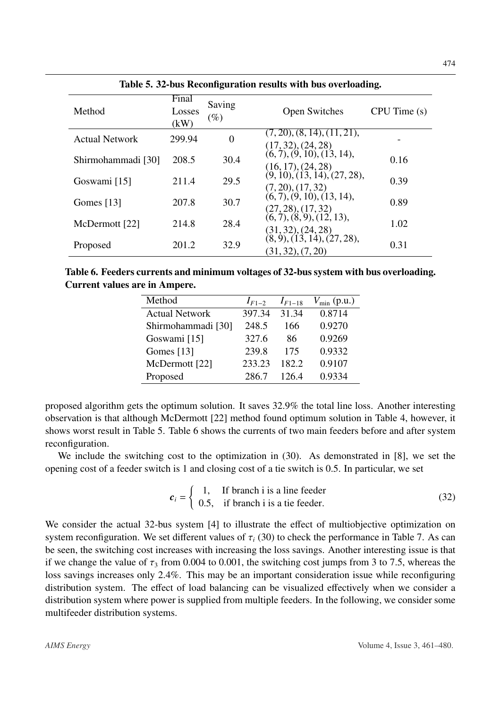<span id="page-13-0"></span>

| Method                | Final<br>Losses<br>(kW) | Saving<br>$(\%)$ | <b>Open Switches</b>                                                                 | CPU Time(s) |
|-----------------------|-------------------------|------------------|--------------------------------------------------------------------------------------|-------------|
| <b>Actual Network</b> | 299.94                  | 0                | (7, 20), (8, 14), (11, 21),<br>(17, 32), (24, 28)                                    |             |
| Shirmohammadi [30]    | 208.5                   | 30.4             | (6, 7), (9, 10), (13, 14),<br>$(16, 17), (24, 28)$<br>$(9, 10), (13, 14), (27, 28),$ | 0.16        |
| Goswami [15]          | 211.4                   | 29.5             | (7, 20), (17, 32)                                                                    | 0.39        |
| Gomes $[13]$          | 207.8                   | 30.7             | (6, 7), (9, 10), (13, 14),<br>(27, 28), (17, 32)                                     | 0.89        |
| McDermott [22]        | 214.8                   | 28.4             | (6, 7), (8, 9), (12, 13),<br>$(31, 32), (24, 28)$<br>$(8, 9), (13, 14), (27, 28),$   | 1.02        |
| Proposed              | 201.2                   | 32.9             | (31, 32), (7, 20)                                                                    | 0.31        |

Table 5. 32-bus Reconfiguration results with bus overloading.

<span id="page-13-1"></span>Table 6. Feeders currents and minimum voltages of 32-bus system with bus overloading. Current values are in Ampere.

| Method                | $I_{F1-2}$ | $I_{F1-18}$ | $V_{\min}$ (p.u.) |
|-----------------------|------------|-------------|-------------------|
| <b>Actual Network</b> | 397.34     | 31.34       | 0.8714            |
| Shirmohammadi [30]    | 248.5      | 166         | 0.9270            |
| Goswami [15]          | 327.6      | 86          | 0.9269            |
| Gomes $[13]$          | 239.8      | 175         | 0.9332            |
| McDermott [22]        | 233.23     | 182.2       | 0.9107            |
| Proposed              | 286.7      | 126.4       | 0.9334            |
|                       |            |             |                   |

proposed algorithm gets the optimum solution. It saves 32.9% the total line loss. Another interesting observation is that although McDermott [\[22\]](#page-18-15) method found optimum solution in Table [4,](#page-12-1) however, it shows worst result in Table [5.](#page-13-0) Table [6](#page-13-1) shows the currents of two main feeders before and after system reconfiguration.

We include the switching cost to the optimization in [\(30\)](#page-10-1). As demonstrated in [\[8\]](#page-18-9), we set the opening cost of a feeder switch is 1 and closing cost of a tie switch is 0.5. In particular, we set

<span id="page-13-2"></span>
$$
c_i = \begin{cases} 1, & \text{If branch i is a line feeder} \\ 0.5, & \text{if branch i is a tie feeder.} \end{cases} \tag{32}
$$

We consider the actual 32-bus system [\[4\]](#page-17-1) to illustrate the effect of multiobjective optimization on system reconfiguration. We set different values of  $\tau_i$  [\(30\)](#page-10-1) to check the performance in Table [7.](#page-14-0) As can be seen, the switching cost increases with increasing the loss savings. Another interesting issue is that if we change the value of  $\tau_3$  from 0.004 to 0.001, the switching cost jumps from 3 to 7.5, whereas the loss savings increases only 2.4%. This may be an important consideration issue while reconfiguring distribution system. The effect of load balancing can be visualized effectively when we consider a distribution system where power is supplied from multiple feeders. In the following, we consider some multifeeder distribution systems.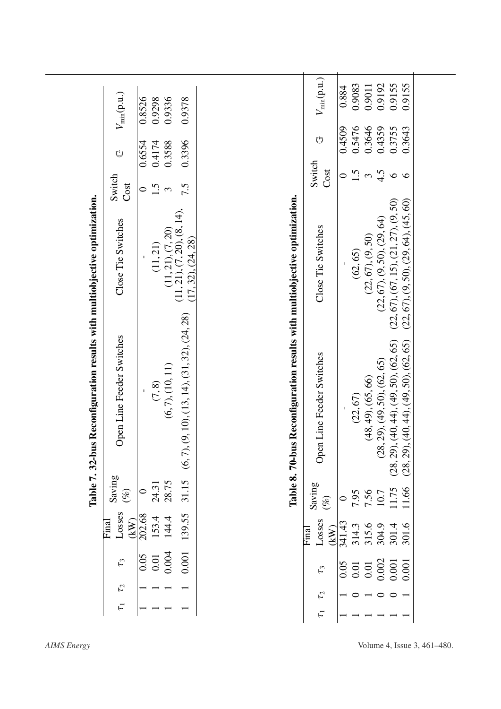<span id="page-14-1"></span><span id="page-14-0"></span>

| $V_{\text{min}}(\text{p.u.})$<br>0.9336<br>0.8526<br>0.9378<br>0.9298<br>0.3646<br>0.5476<br>0.4359<br>0.3755<br>0.4509<br>0.3643<br>Ů<br>0.3396<br>0.4174<br>0.3588<br>0.6554<br>Ů<br>Switch<br>Cost<br>1.5<br>$\frac{3}{4}$<br>$\circ$<br>$\circ$<br>$\circ$<br>Switch<br>Cost<br>1.5<br>7.5<br>$\circ$<br>$\mathfrak{g}$<br>is Reconfiguration results with multiobjective optimization.<br>s Reconfiguration results with multiobjective optimization.<br>(22, 67), (9, 50), (29, 64), (45, 60)<br>(22, 67), (67, 15), (21, 27), (9, 50)<br>$(11, 21), (7, 20)$<br>$(11, 21), (7, 20), (8, 14),$<br>$(22, 67), (9, 50)$<br>$(22, 67), (9, 50), (29, 64)$<br>Close Tie Switches<br>Close Tie Switches<br>(17, 32), (24, 28)<br>(11, 21)<br>(62, 65)<br>(9, 10), (13, 14), (31, 32), (24, 28)<br>Open Line Feeder Switches<br>$(48, 49)$ , $(65, 66)$<br>$(28, 29)$ , $(49, 50)$ , $(62, 65)$<br>$(28, 29)$ , $(40, 44)$ , $(49, 50)$ , $(62, 65)$<br>$(28, 29)$ , $(40, 44)$ , $(49, 50)$ , $(62, 65)$<br>Open Line Feeder Switches<br>(6, 7), (10, 11)<br>$(7,8)$<br>(22, 67)<br>$(6, 7)$ ,<br>Table 7.32-bu<br>Table 8.70-bu |                                  |        |       |        |                         |       |        |        |        |        |        |
|-----------------------------------------------------------------------------------------------------------------------------------------------------------------------------------------------------------------------------------------------------------------------------------------------------------------------------------------------------------------------------------------------------------------------------------------------------------------------------------------------------------------------------------------------------------------------------------------------------------------------------------------------------------------------------------------------------------------------------------------------------------------------------------------------------------------------------------------------------------------------------------------------------------------------------------------------------------------------------------------------------------------------------------------------------------------------------------------------------------------------------------|----------------------------------|--------|-------|--------|-------------------------|-------|--------|--------|--------|--------|--------|
|                                                                                                                                                                                                                                                                                                                                                                                                                                                                                                                                                                                                                                                                                                                                                                                                                                                                                                                                                                                                                                                                                                                                   |                                  |        |       |        | $V_{\min}(\text{p.u.})$ | 0.884 | 0.9083 | 0.9011 | 0.9192 | 0.9155 | 0.9155 |
|                                                                                                                                                                                                                                                                                                                                                                                                                                                                                                                                                                                                                                                                                                                                                                                                                                                                                                                                                                                                                                                                                                                                   |                                  |        |       |        |                         |       |        |        |        |        |        |
|                                                                                                                                                                                                                                                                                                                                                                                                                                                                                                                                                                                                                                                                                                                                                                                                                                                                                                                                                                                                                                                                                                                                   |                                  |        |       |        |                         |       |        |        |        |        |        |
|                                                                                                                                                                                                                                                                                                                                                                                                                                                                                                                                                                                                                                                                                                                                                                                                                                                                                                                                                                                                                                                                                                                                   |                                  |        |       |        |                         |       |        |        |        |        |        |
| 24.31<br>Saving                                                                                                                                                                                                                                                                                                                                                                                                                                                                                                                                                                                                                                                                                                                                                                                                                                                                                                                                                                                                                                                                                                                   | Saving                           |        | 28.75 | 31.15  |                         |       |        |        |        |        |        |
|                                                                                                                                                                                                                                                                                                                                                                                                                                                                                                                                                                                                                                                                                                                                                                                                                                                                                                                                                                                                                                                                                                                                   | Losses<br>$\boxed{\text{final}}$ | 202.68 | 144.4 | 139.55 | Losses<br>Final         |       |        |        |        | 301.4  | 301.6  |
| 153.4<br>(kW)<br>315.6<br>304.9<br>314.3<br>(kW)                                                                                                                                                                                                                                                                                                                                                                                                                                                                                                                                                                                                                                                                                                                                                                                                                                                                                                                                                                                                                                                                                  | $\tau_3$                         |        | 0.004 | 0.001  | $\mathfrak{r}_3$        |       |        |        |        |        | 0.001  |
| 341.43<br>$\frac{50.0}{5}$<br>$0.01\,$<br>$\begin{array}{c} 0.01 \\ 0.002 \\ 0.001 \end{array}$<br>0.05<br>$0.01\,$                                                                                                                                                                                                                                                                                                                                                                                                                                                                                                                                                                                                                                                                                                                                                                                                                                                                                                                                                                                                               | $\mathcal{L}_{2}$                |        |       |        | $\mathcal{L}_{2}$       |       |        |        |        |        |        |
|                                                                                                                                                                                                                                                                                                                                                                                                                                                                                                                                                                                                                                                                                                                                                                                                                                                                                                                                                                                                                                                                                                                                   | $\overline{\tau}$                |        |       |        | $\overline{\tau}$       |       |        |        |        |        |        |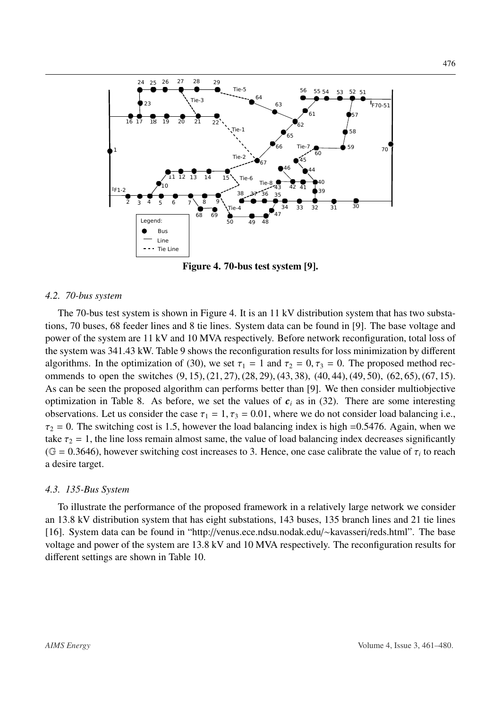<span id="page-15-0"></span>

Figure 4. 70-bus test system [\[9\]](#page-18-10).

#### *4.2. 70-bus system*

The 70-bus test system is shown in Figure [4.](#page-15-0) It is an 11 kV distribution system that has two substations, 70 buses, 68 feeder lines and 8 tie lines. System data can be found in [\[9\]](#page-18-10). The base voltage and power of the system are 11 kV and 10 MVA respectively. Before network reconfiguration, total loss of the system was 341.43 kW. Table [9](#page-16-0) shows the reconfiguration results for loss minimization by different algorithms. In the optimization of [\(30\)](#page-10-1), we set  $\tau_1 = 1$  and  $\tau_2 = 0, \tau_3 = 0$ . The proposed method recommends to open the switches  $(9, 15)$ ,  $(21, 27)$ ,  $(28, 29)$ ,  $(43, 38)$ ,  $(40, 44)$ ,  $(49, 50)$ ,  $(62, 65)$ ,  $(67, 15)$ . As can be seen the proposed algorithm can performs better than [\[9\]](#page-18-10). We then consider multiobjective optimization in Table [8.](#page-14-1) As before, we set the values of  $c_i$  as in [\(32\)](#page-13-2). There are some interesting observations. Let us consider the case  $\tau_1 = 1, \tau_3 = 0.01$ , where we do not consider load balancing i.e.,  $\tau_2$  = 0. The switching cost is 1.5, however the load balancing index is high =0.5476. Again, when we take  $\tau_2 = 1$ , the line loss remain almost same, the value of load balancing index decreases significantly (G = 0.3646), however switching cost increases to 3. Hence, one case calibrate the value of  $\tau_i$  to reach a desire target a desire target.

#### *4.3. 135-Bus System*

To illustrate the performance of the proposed framework in a relatively large network we consider an 13.8 kV distribution system that has eight substations, 143 buses, 135 branch lines and 21 tie lines [\[16\]](#page-18-11). System data can be found in "http://venus.ece.ndsu.nodak.edu/∼kavasseri/reds.html". The base voltage and power of the system are 13.8 kV and 10 MVA respectively. The reconfiguration results for different settings are shown in Table [10.](#page-16-1)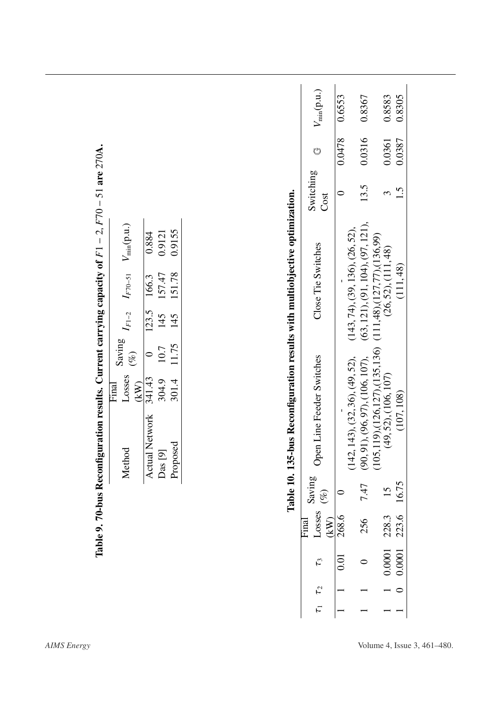<span id="page-16-1"></span><span id="page-16-0"></span>

|             |       |        | Method                                                                                     | Losses<br>Final | Saving  | $I_{F1-2}$ | $I_{F70-51}$                                                   | $V_{min}(p.u.)$                          |           |        |        |
|-------------|-------|--------|--------------------------------------------------------------------------------------------|-----------------|---------|------------|----------------------------------------------------------------|------------------------------------------|-----------|--------|--------|
|             |       |        |                                                                                            | (KW)            | $(\%)$  |            |                                                                |                                          |           |        |        |
|             |       |        | <b>Actual Network</b>                                                                      | 341.43          | $\circ$ | 123.5      | 166.3                                                          | 0.884                                    |           |        |        |
|             |       |        | 5<br>$Das$ [                                                                               | 304.9           | 10.7    | 145        | 157.47                                                         | 0.9121                                   |           |        |        |
|             |       |        | Proposed                                                                                   | 301.4           | 11.75   | 145        | 151.78                                                         | 0.9155                                   |           |        |        |
|             | (KW)  | $(\%)$ |                                                                                            |                 |         |            |                                                                |                                          | Cost      |        |        |
| 0.01        | 268.6 | 0      |                                                                                            |                 |         |            |                                                                |                                          | $\subset$ | 0.0478 | 0.6553 |
|             |       |        | (142, 143), (32, 36), (49, 52),                                                            |                 |         |            |                                                                | $(143, 74)$ , $(39, 136)$ , $(26, 52)$ , |           |        |        |
| $\circ$     | 256   | 7.47   |                                                                                            |                 |         |            |                                                                | (63, 121), (91, 104), (97, 121),         | 13.5      | 0.0316 | 0.8367 |
|             |       |        | $(90, 91), (96, 97), (106, 107),$<br>(105,119),(126,127),(135,136)<br>(49, 52), (106, 107) |                 |         |            | $(111,48)$ , $(127,77)$ , $(136,99)$<br>$(26,52)$ , $(111,48)$ |                                          |           |        |        |
| 0.0001      | 228.3 | 15     |                                                                                            |                 |         |            |                                                                |                                          | 3         | 0.0361 | 0.8583 |
| 0.0001<br>○ | 223.6 | 16.75  | (107, 108)                                                                                 |                 |         |            | (111, 48)                                                      |                                          | 1.5       | 0.0387 | 0.8305 |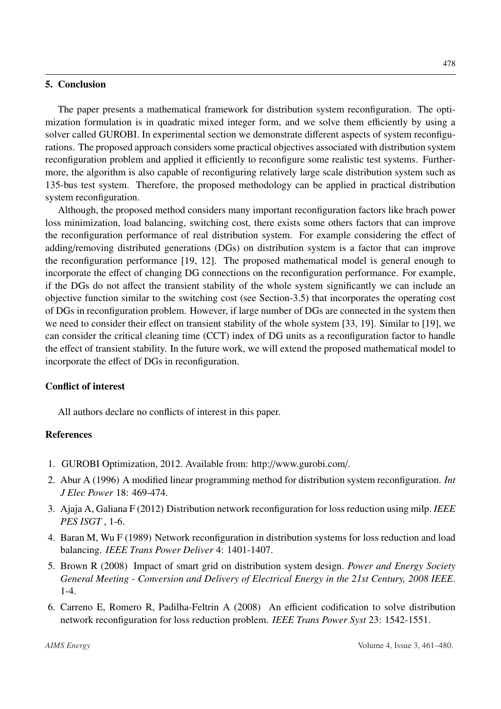## 5. Conclusion

The paper presents a mathematical framework for distribution system reconfiguration. The optimization formulation is in quadratic mixed integer form, and we solve them efficiently by using a solver called GUROBI. In experimental section we demonstrate different aspects of system reconfigurations. The proposed approach considers some practical objectives associated with distribution system reconfiguration problem and applied it efficiently to reconfigure some realistic test systems. Furthermore, the algorithm is also capable of reconfiguring relatively large scale distribution system such as 135-bus test system. Therefore, the proposed methodology can be applied in practical distribution system reconfiguration.

Although, the proposed method considers many important reconfiguration factors like brach power loss minimization, load balancing, switching cost, there exists some others factors that can improve the reconfiguration performance of real distribution system. For example considering the effect of adding/removing distributed generations (DGs) on distribution system is a factor that can improve the reconfiguration performance [\[19,](#page-18-7) [12\]](#page-18-6). The proposed mathematical model is general enough to incorporate the effect of changing DG connections on the reconfiguration performance. For example, if the DGs do not affect the transient stability of the whole system significantly we can include an objective function similar to the switching cost (see Section[-3.5\)](#page-8-3) that incorporates the operating cost of DGs in reconfiguration problem. However, if large number of DGs are connected in the system then we need to consider their effect on transient stability of the whole system [\[33,](#page-19-3) [19\]](#page-18-7). Similar to [\[19\]](#page-18-7), we can consider the critical cleaning time (CCT) index of DG units as a reconfiguration factor to handle the effect of transient stability. In the future work, we will extend the proposed mathematical model to incorporate the effect of DGs in reconfiguration.

### Conflict of interest

All authors declare no conflicts of interest in this paper.

# References

- <span id="page-17-5"></span>[1.](http://www.ams.org/mathscinet-getitem?mr=2012&return=pdf) GUROBI Optimization, 2012. Available from: http://www.gurobi.com/.
- <span id="page-17-3"></span>2. Abur A (1996) A modified linear programming method for distribution system reconfiguration. *Int J Elec Power* 18: 469-474.
- <span id="page-17-4"></span>3. Ajaja A, Galiana F (2012) Distribution network reconfiguration for loss reduction using milp. *IEEE PES ISGT* , 1-6.
- <span id="page-17-1"></span>4. Baran M, Wu F (1989) Network reconfiguration in distribution systems for loss reduction and load balancing. *IEEE Trans Power Deliver* 4: 1401-1407.
- <span id="page-17-0"></span>5. Brown R (2008) Impact of smart grid on distribution system design. *Power and Energy Society General Meeting - Conversion and Delivery of Electrical Energy in the 21st Century, 2008 IEEE*. 1-4.
- <span id="page-17-2"></span>6. Carreno E, Romero R, Padilha-Feltrin A (2008) An efficient codification to solve distribution network reconfiguration for loss reduction problem. *IEEE Trans Power Syst* 23: 1542-1551.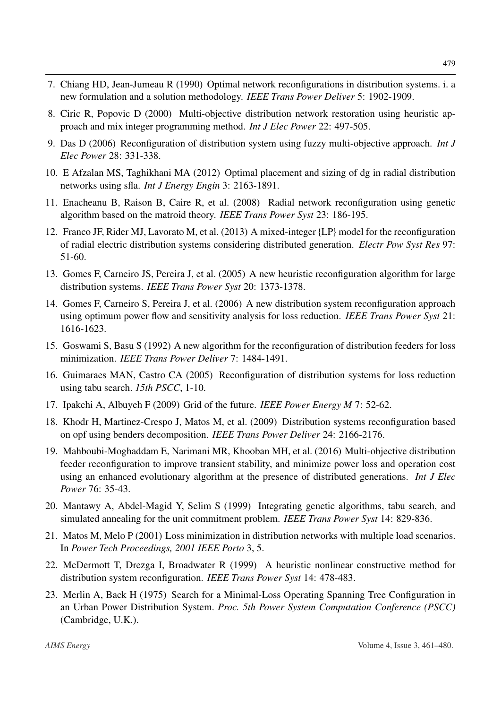- <span id="page-18-8"></span>7. Chiang HD, Jean-Jumeau R (1990) Optimal network reconfigurations in distribution systems. i. a new formulation and a solution methodology. *IEEE Trans Power Deliver* 5: 1902-1909.
- <span id="page-18-9"></span>8. Ciric R, Popovic D (2000) Multi-objective distribution network restoration using heuristic approach and mix integer programming method. *Int J Elec Power* 22: 497-505.
- <span id="page-18-10"></span>9. Das D (2006) Reconfiguration of distribution system using fuzzy multi-objective approach. *Int J Elec Power* 28: 331-338.
- <span id="page-18-12"></span>10. E Afzalan MS, Taghikhani MA (2012) Optimal placement and sizing of dg in radial distribution networks using sfla. *Int J Energy Engin* 3: 2163-1891.
- <span id="page-18-2"></span>11. Enacheanu B, Raison B, Caire R, et al. (2008) Radial network reconfiguration using genetic algorithm based on the matroid theory. *IEEE Trans Power Syst* 23: 186-195.
- <span id="page-18-6"></span>12. Franco JF, Rider MJ, Lavorato M, et al. (2013) A mixed-integer {LP} model for the reconfiguration of radial electric distribution systems considering distributed generation. *Electr Pow Syst Res* 97: 51-60.
- <span id="page-18-14"></span>13. Gomes F, Carneiro JS, Pereira J, et al. (2005) A new heuristic reconfiguration algorithm for large distribution systems. *IEEE Trans Power Syst* 20: 1373-1378.
- <span id="page-18-16"></span>14. Gomes F, Carneiro S, Pereira J, et al. (2006) A new distribution system reconfiguration approach using optimum power flow and sensitivity analysis for loss reduction. *IEEE Trans Power Syst* 21: 1616-1623.
- <span id="page-18-13"></span>15. Goswami S, Basu S (1992) A new algorithm for the reconfiguration of distribution feeders for loss minimization. *IEEE Trans Power Deliver* 7: 1484-1491.
- <span id="page-18-11"></span>16. Guimaraes MAN, Castro CA (2005) Reconfiguration of distribution systems for loss reduction using tabu search. *15th PSCC*, 1-10.
- <span id="page-18-0"></span>17. Ipakchi A, Albuyeh F (2009) Grid of the future. *IEEE Power Energy M* 7: 52-62.
- <span id="page-18-5"></span>18. Khodr H, Martinez-Crespo J, Matos M, et al. (2009) Distribution systems reconfiguration based on opf using benders decomposition. *IEEE Trans Power Deliver* 24: 2166-2176.
- <span id="page-18-7"></span>19. Mahboubi-Moghaddam E, Narimani MR, Khooban MH, et al. (2016) Multi-objective distribution feeder reconfiguration to improve transient stability, and minimize power loss and operation cost using an enhanced evolutionary algorithm at the presence of distributed generations. *Int J Elec Power* 76: 35-43.
- <span id="page-18-3"></span>20. Mantawy A, Abdel-Magid Y, Selim S (1999) Integrating genetic algorithms, tabu search, and simulated annealing for the unit commitment problem. *IEEE Trans Power Syst* 14: 829-836.
- <span id="page-18-4"></span>21. Matos M, Melo P (2001) Loss minimization in distribution networks with multiple load scenarios. In *Power Tech Proceedings, 2001 IEEE Porto* 3, 5.
- <span id="page-18-15"></span>22. McDermott T, Drezga I, Broadwater R (1999) A heuristic nonlinear constructive method for distribution system reconfiguration. *IEEE Trans Power Syst* 14: 478-483.
- <span id="page-18-1"></span>23. Merlin A, Back H (1975) Search for a Minimal-Loss Operating Spanning Tree Configuration in an Urban Power Distribution System. *Proc. 5th Power System Computation Conference (PSCC)* (Cambridge, U.K.).